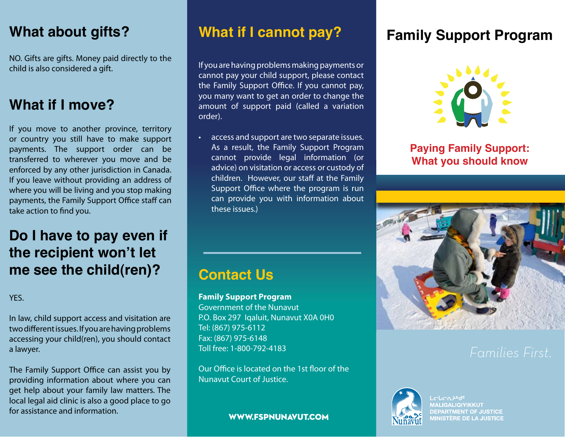#### **What about gifts?**

NO. Gifts are gifts. Money paid directly to the child is also considered a gift.

### **What if I move?**

If you move to another province, territory or country you still have to make support payments. The support order can be transferred to wherever you move and be enforced by any other jurisdiction in Canada. If you leave without providing an address of where you will be living and you stop making payments, the Family Support Office staff can take action to find you.

### **Do I have to pay even if the recipient won't let me see the child(ren)?**

#### YES.

In law, child support access and visitation are two different issues. If you are having problems accessing your child(ren), you should contact a lawyer.

The Family Support Office can assist you by providing information about where you can get help about your family law matters. The local legal aid clinic is also a good place to go for assistance and information.

## **What if I cannot pay?**

If you are having problems making payments or cannot pay your child support, please contact the Family Support Office. If you cannot pay, you many want to get an order to change the amount of support paid (called a variation order).

• access and support are two separate issues. As a result, the Family Support Program cannot provide legal information (or advice) on visitation or access or custody of children. However, our staff at the Family Support Office where the program is run can provide you with information about these issues.)

### **Contact Us**

#### **Family Support Program**

Government of the Nunavut P.O. Box 297 Iqaluit, Nunavut X0A 0H0 Tel: (867) 975-6112 Fax: (867) 975-6148 Toll free: 1-800-792-4183

Our Office is located on the 1st floor of the Nunavut Court of Justice.

#### **WWW.FSPNUNAVUT.COM**

# **Family Support Program**



**Paying Family Support: What you should know**





**MENT OF JUSTICE MINISTÈRE DE LA JUSTICE**